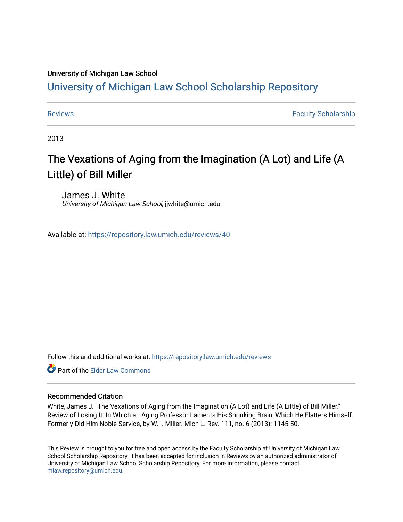## University of Michigan Law School

# [University of Michigan Law School Scholarship Repository](https://repository.law.umich.edu/)

[Reviews](https://repository.law.umich.edu/reviews) **Faculty Scholarship Faculty Scholarship Faculty Scholarship** 

2013

# The Vexations of Aging from the Imagination (A Lot) and Life (A Little) of Bill Miller

James J. White University of Michigan Law School, jjwhite@umich.edu

Available at: <https://repository.law.umich.edu/reviews/40>

Follow this and additional works at: [https://repository.law.umich.edu/reviews](https://repository.law.umich.edu/reviews?utm_source=repository.law.umich.edu%2Freviews%2F40&utm_medium=PDF&utm_campaign=PDFCoverPages) 

**C** Part of the Elder Law Commons

### Recommended Citation

White, James J. "The Vexations of Aging from the Imagination (A Lot) and Life (A Little) of Bill Miller." Review of Losing It: In Which an Aging Professor Laments His Shrinking Brain, Which He Flatters Himself Formerly Did Him Noble Service, by W. I. Miller. Mich L. Rev. 111, no. 6 (2013): 1145-50.

This Review is brought to you for free and open access by the Faculty Scholarship at University of Michigan Law School Scholarship Repository. It has been accepted for inclusion in Reviews by an authorized administrator of University of Michigan Law School Scholarship Repository. For more information, please contact [mlaw.repository@umich.edu.](mailto:mlaw.repository@umich.edu)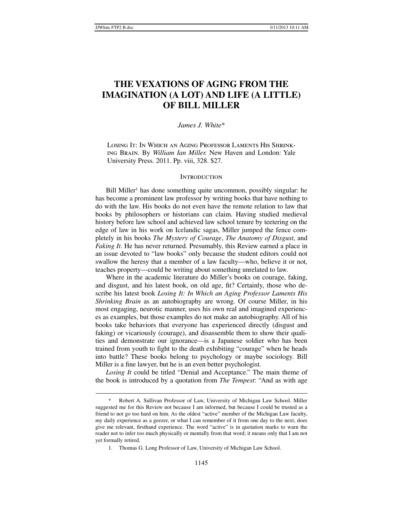# **THE VEXATIONS OF AGING FROM THE IMAGINATION (A LOT) AND LIFE (A LITTLE) OF BILL MILLER**

#### *James J. White*\*

Losing It: In Which an Aging Professor Laments His Shrinking Brain. By *William Ian Miller.* New Haven and London: Yale University Press. 2011. Pp. viii, 328. \$27.

#### **INTRODUCTION**

Bill Miller<sup>1</sup> has done something quite uncommon, possibly singular: he has become a prominent law professor by writing books that have nothing to do with the law. His books do not even have the remote relation to law that books by philosophers or historians can claim. Having studied medieval history before law school and achieved law school tenure by teetering on the edge of law in his work on Icelandic sagas, Miller jumped the fence completely in his books *The Mystery of Courage*, *The Anatomy of Disgust*, and *Faking It*. He has never returned. Presumably, this Review earned a place in an issue devoted to "law books" only because the student editors could not swallow the heresy that a member of a law faculty—who, believe it or not, teaches property—could be writing about something unrelated to law.

Where in the academic literature do Miller's books on courage, faking, and disgust, and his latest book, on old age, fit? Certainly, those who describe his latest book *Losing It: In Which an Aging Professor Laments His Shrinking Brain* as an autobiography are wrong. Of course Miller, in his most engaging, neurotic manner, uses his own real and imagined experiences as examples, but those examples do not make an autobiography. All of his books take behaviors that everyone has experienced directly (disgust and faking) or vicariously (courage), and disassemble them to show their qualities and demonstrate our ignorance—is a Japanese soldier who has been trained from youth to fight to the death exhibiting "courage" when he heads into battle? These books belong to psychology or maybe sociology. Bill Miller is a fine lawyer, but he is an even better psychologist.

*Losing It* could be titled "Denial and Acceptance." The main theme of the book is introduced by a quotation from *The Tempest*: "And as with age

 $\overline{a}$ 

1. Thomas G. Long Professor of Law, University of Michigan Law School.

 <sup>\*</sup> Robert A. Sullivan Professor of Law, University of Michigan Law School. Miller suggested me for this Review not because I am informed, but because I could be trusted as a friend to not go too hard on him. As the oldest "active" member of the Michigan Law faculty, my daily experience as a geezer, or what I can remember of it from one day to the next, does give me relevant, firsthand experience. The word "active" is in quotation marks to warn the reader not to infer too much physically or mentally from that word; it means only that I am not yet formally retired.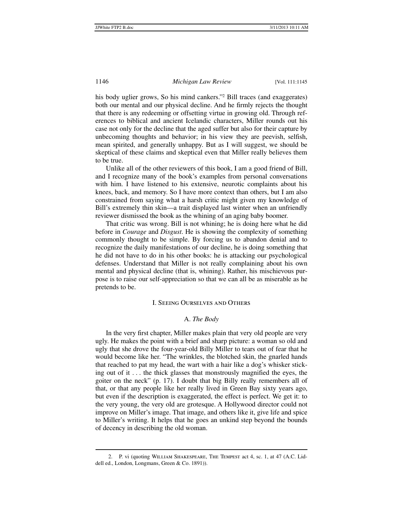his body uglier grows, So his mind cankers."2 Bill traces (and exaggerates) both our mental and our physical decline. And he firmly rejects the thought that there is any redeeming or offsetting virtue in growing old. Through references to biblical and ancient Icelandic characters, Miller rounds out his case not only for the decline that the aged suffer but also for their capture by unbecoming thoughts and behavior; in his view they are peevish, selfish, mean spirited, and generally unhappy. But as I will suggest, we should be skeptical of these claims and skeptical even that Miller really believes them to be true.

Unlike all of the other reviewers of this book, I am a good friend of Bill, and I recognize many of the book's examples from personal conversations with him. I have listened to his extensive, neurotic complaints about his knees, back, and memory. So I have more context than others, but I am also constrained from saying what a harsh critic might given my knowledge of Bill's extremely thin skin—a trait displayed last winter when an unfriendly reviewer dismissed the book as the whining of an aging baby boomer.

That critic was wrong. Bill is not whining; he is doing here what he did before in *Courage* and *Disgust*. He is showing the complexity of something commonly thought to be simple. By forcing us to abandon denial and to recognize the daily manifestations of our decline, he is doing something that he did not have to do in his other books: he is attacking our psychological defenses. Understand that Miller is not really complaining about his own mental and physical decline (that is, whining). Rather, his mischievous purpose is to raise our self-appreciation so that we can all be as miserable as he pretends to be.

#### I. Seeing Ourselves and Others

#### A. *The Body*

In the very first chapter, Miller makes plain that very old people are very ugly. He makes the point with a brief and sharp picture: a woman so old and ugly that she drove the four-year-old Billy Miller to tears out of fear that he would become like her. "The wrinkles, the blotched skin, the gnarled hands that reached to pat my head, the wart with a hair like a dog's whisker sticking out of it . . . the thick glasses that monstrously magnified the eyes, the goiter on the neck" (p. 17). I doubt that big Billy really remembers all of that, or that any people like her really lived in Green Bay sixty years ago, but even if the description is exaggerated, the effect is perfect. We get it: to the very young, the very old are grotesque. A Hollywood director could not improve on Miller's image. That image, and others like it, give life and spice to Miller's writing. It helps that he goes an unkind step beyond the bounds of decency in describing the old woman.

 $\overline{a}$ 

 <sup>2.</sup> P. vi (quoting William Shakespeare, The Tempest act 4, sc. 1, at 47 (A.C. Liddell ed., London, Longmans, Green & Co. 1891)).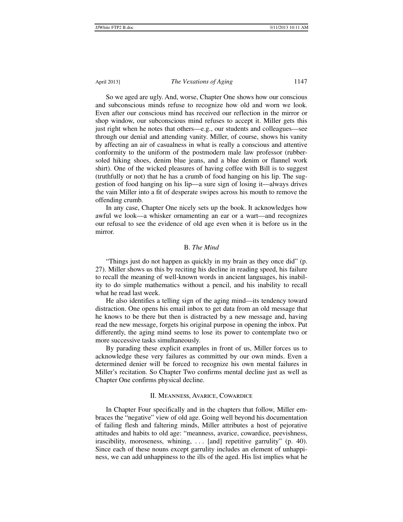So we aged are ugly. And, worse, Chapter One shows how our conscious and subconscious minds refuse to recognize how old and worn we look. Even after our conscious mind has received our reflection in the mirror or shop window, our subconscious mind refuses to accept it. Miller gets this just right when he notes that others—e.g., our students and colleagues—see through our denial and attending vanity. Miller, of course, shows his vanity by affecting an air of casualness in what is really a conscious and attentive conformity to the uniform of the postmodern male law professor (rubbersoled hiking shoes, denim blue jeans, and a blue denim or flannel work shirt). One of the wicked pleasures of having coffee with Bill is to suggest (truthfully or not) that he has a crumb of food hanging on his lip. The suggestion of food hanging on his lip—a sure sign of losing it—always drives the vain Miller into a fit of desperate swipes across his mouth to remove the offending crumb.

In any case, Chapter One nicely sets up the book. It acknowledges how awful we look—a whisker ornamenting an ear or a wart—and recognizes our refusal to see the evidence of old age even when it is before us in the mirror.

#### B. *The Mind*

"Things just do not happen as quickly in my brain as they once did" (p. 27). Miller shows us this by reciting his decline in reading speed, his failure to recall the meaning of well-known words in ancient languages, his inability to do simple mathematics without a pencil, and his inability to recall what he read last week.

He also identifies a telling sign of the aging mind—its tendency toward distraction. One opens his email inbox to get data from an old message that he knows to be there but then is distracted by a new message and, having read the new message, forgets his original purpose in opening the inbox. Put differently, the aging mind seems to lose its power to contemplate two or more successive tasks simultaneously.

By parading these explicit examples in front of us, Miller forces us to acknowledge these very failures as committed by our own minds. Even a determined denier will be forced to recognize his own mental failures in Miller's recitation. So Chapter Two confirms mental decline just as well as Chapter One confirms physical decline.

#### II. Meanness, Avarice, Cowardice

In Chapter Four specifically and in the chapters that follow, Miller embraces the "negative" view of old age. Going well beyond his documentation of failing flesh and faltering minds, Miller attributes a host of pejorative attitudes and habits to old age: "meanness, avarice, cowardice, peevishness, irascibility, moroseness, whining, . . . [and] repetitive garrulity" (p. 40). Since each of these nouns except garrulity includes an element of unhappiness, we can add unhappiness to the ills of the aged. His list implies what he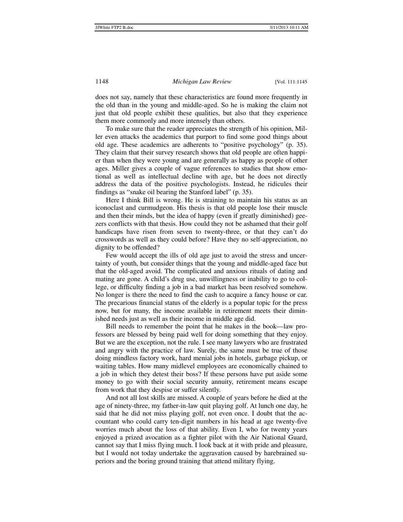does not say, namely that these characteristics are found more frequently in the old than in the young and middle-aged. So he is making the claim not just that old people exhibit these qualities, but also that they experience them more commonly and more intensely than others.

To make sure that the reader appreciates the strength of his opinion, Miller even attacks the academics that purport to find some good things about old age. These academics are adherents to "positive psychology" (p. 35). They claim that their survey research shows that old people are often happier than when they were young and are generally as happy as people of other ages. Miller gives a couple of vague references to studies that show emotional as well as intellectual decline with age, but he does not directly address the data of the positive psychologists. Instead, he ridicules their findings as "snake oil bearing the Stanford label" (p. 35).

Here I think Bill is wrong. He is straining to maintain his status as an iconoclast and curmudgeon. His thesis is that old people lose their muscle and then their minds, but the idea of happy (even if greatly diminished) geezers conflicts with that thesis. How could they not be ashamed that their golf handicaps have risen from seven to twenty-three, or that they can't do crosswords as well as they could before? Have they no self-appreciation, no dignity to be offended?

Few would accept the ills of old age just to avoid the stress and uncertainty of youth, but consider things that the young and middle-aged face but that the old-aged avoid. The complicated and anxious rituals of dating and mating are gone. A child's drug use, unwillingness or inability to go to college, or difficulty finding a job in a bad market has been resolved somehow. No longer is there the need to find the cash to acquire a fancy house or car. The precarious financial status of the elderly is a popular topic for the press now, but for many, the income available in retirement meets their diminished needs just as well as their income in middle age did.

Bill needs to remember the point that he makes in the book—law professors are blessed by being paid well for doing something that they enjoy. But we are the exception, not the rule. I see many lawyers who are frustrated and angry with the practice of law. Surely, the same must be true of those doing mindless factory work, hard menial jobs in hotels, garbage pickup, or waiting tables. How many midlevel employees are economically chained to a job in which they detest their boss? If these persons have put aside some money to go with their social security annuity, retirement means escape from work that they despise or suffer silently.

And not all lost skills are missed. A couple of years before he died at the age of ninety-three, my father-in-law quit playing golf. At lunch one day, he said that he did not miss playing golf, not even once. I doubt that the accountant who could carry ten-digit numbers in his head at age twenty-five worries much about the loss of that ability. Even I, who for twenty years enjoyed a prized avocation as a fighter pilot with the Air National Guard, cannot say that I miss flying much. I look back at it with pride and pleasure, but I would not today undertake the aggravation caused by harebrained superiors and the boring ground training that attend military flying.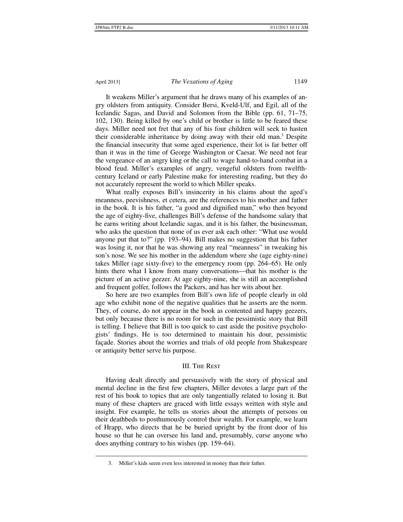$\overline{a}$ 

It weakens Miller's argument that he draws many of his examples of angry oldsters from antiquity. Consider Bersi, Kveld-Ulf, and Egil, all of the Icelandic Sagas, and David and Solomon from the Bible (pp. 61, 71–75, 102, 130). Being killed by one's child or brother is little to be feared these days. Miller need not fret that any of his four children will seek to hasten their considerable inheritance by doing away with their old man.3 Despite the financial insecurity that some aged experience, their lot is far better off than it was in the time of George Washington or Caesar. We need not fear the vengeance of an angry king or the call to wage hand-to-hand combat in a blood feud. Miller's examples of angry, vengeful oldsters from twelfthcentury Iceland or early Palestine make for interesting reading, but they do not accurately represent the world to which Miller speaks.

What really exposes Bill's insincerity in his claims about the aged's meanness, peevishness, et cetera, are the references to his mother and father in the book. It is his father, "a good and dignified man," who then beyond the age of eighty-five, challenges Bill's defense of the handsome salary that he earns writing about Icelandic sagas, and it is his father, the businessman, who asks the question that none of us ever ask each other: "What use would anyone put that to?" (pp. 193–94). Bill makes no suggestion that his father was losing it, nor that he was showing any real "meanness" in tweaking his son's nose. We see his mother in the addendum where she (age eighty-nine) takes Miller (age sixty-five) to the emergency room (pp. 264–65). He only hints there what I know from many conversations—that his mother is the picture of an active geezer. At age eighty-nine, she is still an accomplished and frequent golfer, follows the Packers, and has her wits about her.

So here are two examples from Bill's own life of people clearly in old age who exhibit none of the negative qualities that he asserts are the norm. They, of course, do not appear in the book as contented and happy geezers, but only because there is no room for such in the pessimistic story that Bill is telling. I believe that Bill is too quick to cast aside the positive psychologists' findings. He is too determined to maintain his dour, pessimistic façade. Stories about the worries and trials of old people from Shakespeare or antiquity better serve his purpose.

#### III. The Rest

Having dealt directly and persuasively with the story of physical and mental decline in the first few chapters, Miller devotes a large part of the rest of his book to topics that are only tangentially related to losing it. But many of these chapters are graced with little essays written with style and insight. For example, he tells us stories about the attempts of persons on their deathbeds to posthumously control their wealth. For example, we learn of Hrapp, who directs that he be buried upright by the front door of his house so that he can oversee his land and, presumably, curse anyone who does anything contrary to his wishes (pp. 159–64).

 <sup>3.</sup> Miller's kids seem even less interested in money than their father.